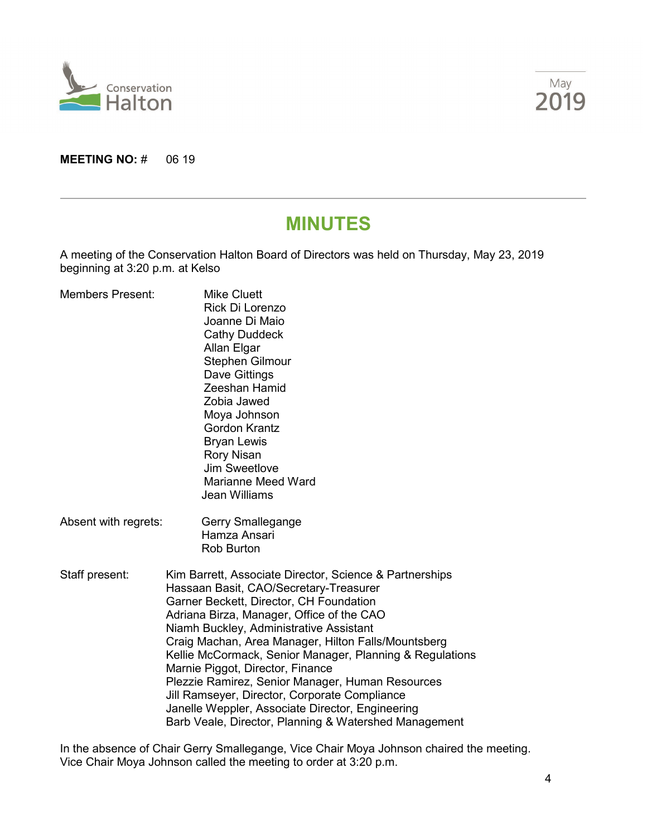



**MEETING NO: # 06 19** 

# **MINUTES**

A meeting of the Conservation Halton Board of Directors was held on Thursday, May 23, 2019 beginning at 3:20 p.m. at Kelso

| <b>Members Present:</b> | <b>Mike Cluett</b><br>Rick Di Lorenzo<br>Joanne Di Maio<br><b>Cathy Duddeck</b><br>Allan Elgar<br>Stephen Gilmour<br>Dave Gittings<br>Zeeshan Hamid<br>Zobia Jawed<br>Moya Johnson<br><b>Gordon Krantz</b><br><b>Bryan Lewis</b><br><b>Rory Nisan</b><br>Jim Sweetlove<br><b>Marianne Meed Ward</b><br>Jean Williams                                                                                                                                                                                                                                                                                          |  |
|-------------------------|---------------------------------------------------------------------------------------------------------------------------------------------------------------------------------------------------------------------------------------------------------------------------------------------------------------------------------------------------------------------------------------------------------------------------------------------------------------------------------------------------------------------------------------------------------------------------------------------------------------|--|
| Absent with regrets:    | Gerry Smallegange<br>Hamza Ansari<br><b>Rob Burton</b>                                                                                                                                                                                                                                                                                                                                                                                                                                                                                                                                                        |  |
| Staff present:          | Kim Barrett, Associate Director, Science & Partnerships<br>Hassaan Basit, CAO/Secretary-Treasurer<br>Garner Beckett, Director, CH Foundation<br>Adriana Birza, Manager, Office of the CAO<br>Niamh Buckley, Administrative Assistant<br>Craig Machan, Area Manager, Hilton Falls/Mountsberg<br>Kellie McCormack, Senior Manager, Planning & Regulations<br>Marnie Piggot, Director, Finance<br>Plezzie Ramirez, Senior Manager, Human Resources<br>Jill Ramseyer, Director, Corporate Compliance<br>Janelle Weppler, Associate Director, Engineering<br>Barb Veale, Director, Planning & Watershed Management |  |

In the absence of Chair Gerry Smallegange, Vice Chair Moya Johnson chaired the meeting. Vice Chair Moya Johnson called the meeting to order at 3:20 p.m.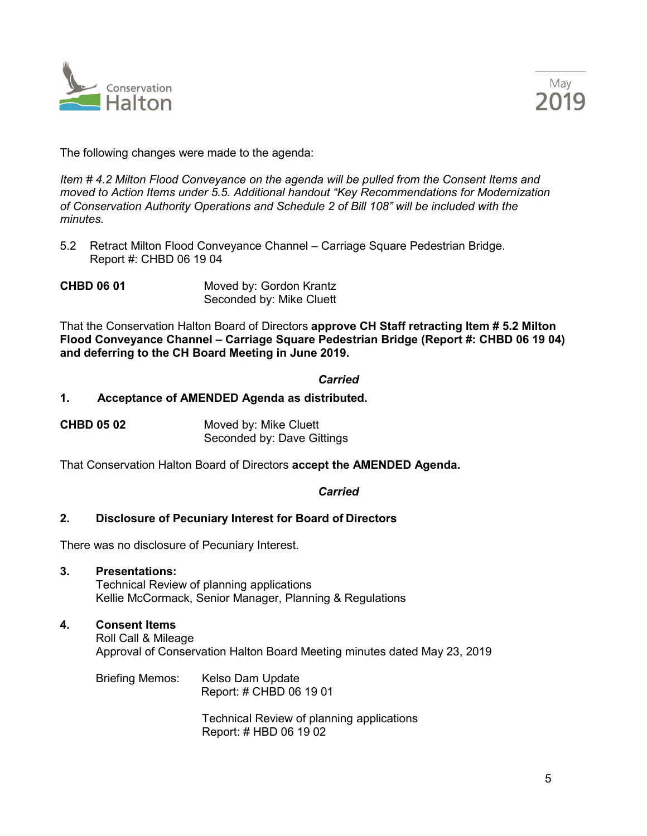



The following changes were made to the agenda:

*Item # 4.2 Milton Flood Conveyance on the agenda will be pulled from the Consent Items and moved to Action Items under 5.5. Additional handout "Key Recommendations for Modernization of Conservation Authority Operations and Schedule 2 of Bill 108" will be included with the minutes.*

5.2 Retract Milton Flood Conveyance Channel – Carriage Square Pedestrian Bridge. Report #: CHBD 06 19 04

**CHBD 06 01** Moved by: Gordon Krantz Seconded by: Mike Cluett

That the Conservation Halton Board of Directors **approve CH Staff retracting Item # 5.2 Milton Flood Conveyance Channel – Carriage Square Pedestrian Bridge (Report #: CHBD 06 19 04) and deferring to the CH Board Meeting in June 2019.**

## *Carried*

## **1. Acceptance of AMENDED Agenda as distributed.**

| <b>CHBD 05 02</b> | Moved by: Mike Cluett      |
|-------------------|----------------------------|
|                   | Seconded by: Dave Gittings |

That Conservation Halton Board of Directors **accept the AMENDED Agenda.**

#### *Carried*

# **2. Disclosure of Pecuniary Interest for Board of Directors**

There was no disclosure of Pecuniary Interest.

- **3. Presentations:** Technical Review of planning applications Kellie McCormack, Senior Manager, Planning & Regulations
- **4. Consent Items** Roll Call & Mileage Approval of Conservation Halton Board Meeting minutes dated May 23, 2019
	- Briefing Memos: Kelso Dam Update Report: # CHBD 06 19 01

Technical Review of planning applications Report: # HBD 06 19 02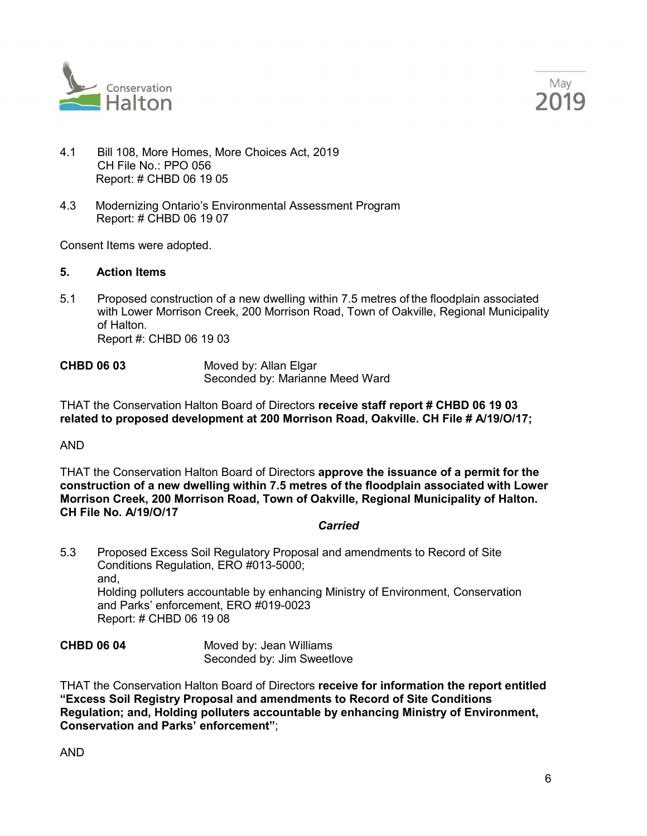



- 4.1 Bill 108, More Homes, More Choices Act, 2019 CH File No.: PPO 056 Report: # CHBD 06 19 05
- 4.3 Modernizing Ontario's Environmental Assessment Program Report: # CHBD 06 19 07

Consent Items were adopted.

## **5. Action Items**

5.1 Proposed construction of a new dwelling within 7.5 metres of the floodplain associated with Lower Morrison Creek, 200 Morrison Road, Town of Oakville, Regional Municipality of Halton. Report #: CHBD 06 19 03

**CHBD 06 03** Moved by: Allan Elgar Seconded by: Marianne Meed Ward

THAT the Conservation Halton Board of Directors **receive staff report # CHBD 06 19 03 related to proposed development at 200 Morrison Road, Oakville. CH File # A/19/O/17;**

AND

THAT the Conservation Halton Board of Directors **approve the issuance of a permit for the construction of a new dwelling within 7.5 metres of the floodplain associated with Lower Morrison Creek, 200 Morrison Road, Town of Oakville, Regional Municipality of Halton. CH File No. A/19/O/17**

#### *Carried*

5.3 Proposed Excess Soil Regulatory Proposal and amendments to Record of Site Conditions Regulation, ERO #013-5000; and, Holding polluters accountable by enhancing Ministry of Environment, Conservation and Parks' enforcement, ERO #019-0023 Report: # CHBD 06 19 08

**CHBD 06 04** Moved by: Jean Williams Seconded by: Jim Sweetlove

THAT the Conservation Halton Board of Directors **receive for information the report entitled "Excess Soil Registry Proposal and amendments to Record of Site Conditions Regulation; and, Holding polluters accountable by enhancing Ministry of Environment, Conservation and Parks' enforcement"**;

AND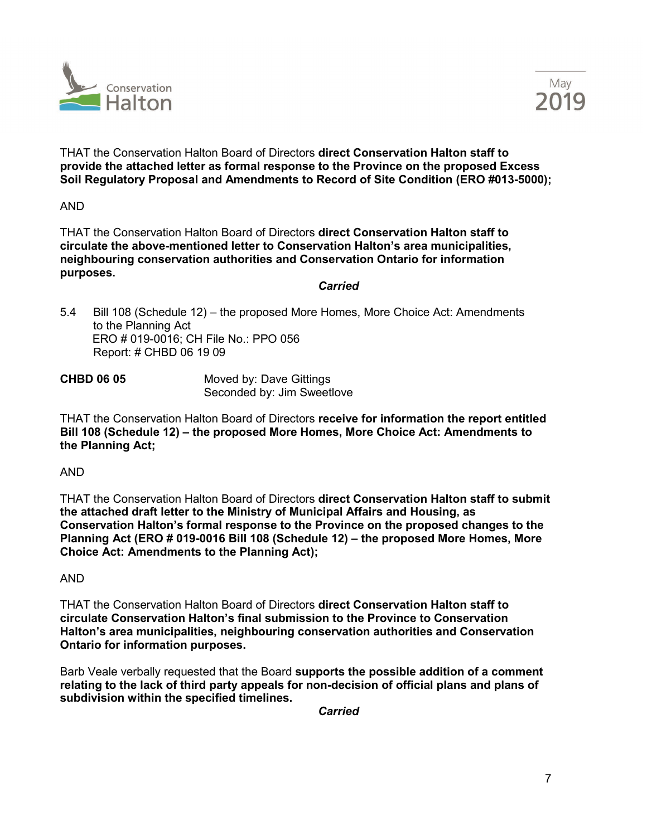



THAT the Conservation Halton Board of Directors **direct Conservation Halton staff to provide the attached letter as formal response to the Province on the proposed Excess Soil Regulatory Proposal and Amendments to Record of Site Condition (ERO #013-5000);** 

AND

THAT the Conservation Halton Board of Directors **direct Conservation Halton staff to circulate the above-mentioned letter to Conservation Halton's area municipalities, neighbouring conservation authorities and Conservation Ontario for information purposes.**

*Carried*

5.4 Bill 108 (Schedule 12) – the proposed More Homes, More Choice Act: Amendments to the Planning Act ERO # 019-0016; CH File No.: PPO 056 Report: # CHBD 06 19 09

**CHBD 06 05** Moved by: Dave Gittings Seconded by: Jim Sweetlove

THAT the Conservation Halton Board of Directors **receive for information the report entitled Bill 108 (Schedule 12) – the proposed More Homes, More Choice Act: Amendments to the Planning Act;**

# AND

THAT the Conservation Halton Board of Directors **direct Conservation Halton staff to submit the attached draft letter to the Ministry of Municipal Affairs and Housing, as Conservation Halton's formal response to the Province on the proposed changes to the Planning Act (ERO # 019-0016 Bill 108 (Schedule 12) – the proposed More Homes, More Choice Act: Amendments to the Planning Act);**

AND

THAT the Conservation Halton Board of Directors **direct Conservation Halton staff to circulate Conservation Halton's final submission to the Province to Conservation Halton's area municipalities, neighbouring conservation authorities and Conservation Ontario for information purposes.**

Barb Veale verbally requested that the Board **supports the possible addition of a comment relating to the lack of third party appeals for non-decision of official plans and plans of subdivision within the specified timelines.**

*Carried*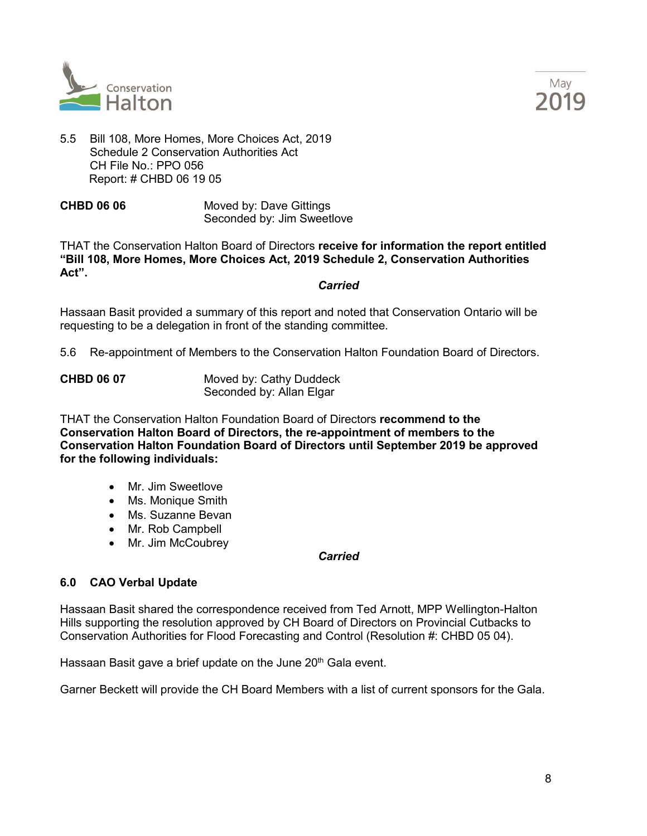



5.5 Bill 108, More Homes, More Choices Act, 2019 Schedule 2 Conservation Authorities Act CH File  $No : PPO 056$ Report: # CHBD 06 19 05

**CHBD 06 06** Moved by: Dave Gittings Seconded by: Jim Sweetlove

THAT the Conservation Halton Board of Directors **receive for information the report entitled "Bill 108, More Homes, More Choices Act, 2019 Schedule 2, Conservation Authorities Act".** 

*Carried*

Hassaan Basit provided a summary of this report and noted that Conservation Ontario will be requesting to be a delegation in front of the standing committee.

5.6 Re-appointment of Members to the Conservation Halton Foundation Board of Directors.

| <b>CHBD 06 07</b> | Moved by: Cathy Duddeck  |
|-------------------|--------------------------|
|                   | Seconded by: Allan Elgar |

THAT the Conservation Halton Foundation Board of Directors **recommend to the Conservation Halton Board of Directors, the re-appointment of members to the Conservation Halton Foundation Board of Directors until September 2019 be approved for the following individuals:** 

- Mr. Jim Sweetlove
- Ms. Monique Smith
- Ms. Suzanne Bevan
- Mr. Rob Campbell
- Mr. Jim McCoubrey

#### *Carried*

# **6.0 CAO Verbal Update**

Hassaan Basit shared the correspondence received from Ted Arnott, MPP Wellington-Halton Hills supporting the resolution approved by CH Board of Directors on Provincial Cutbacks to Conservation Authorities for Flood Forecasting and Control (Resolution #: CHBD 05 04).

Hassaan Basit gave a brief update on the June 20<sup>th</sup> Gala event.

Garner Beckett will provide the CH Board Members with a list of current sponsors for the Gala.